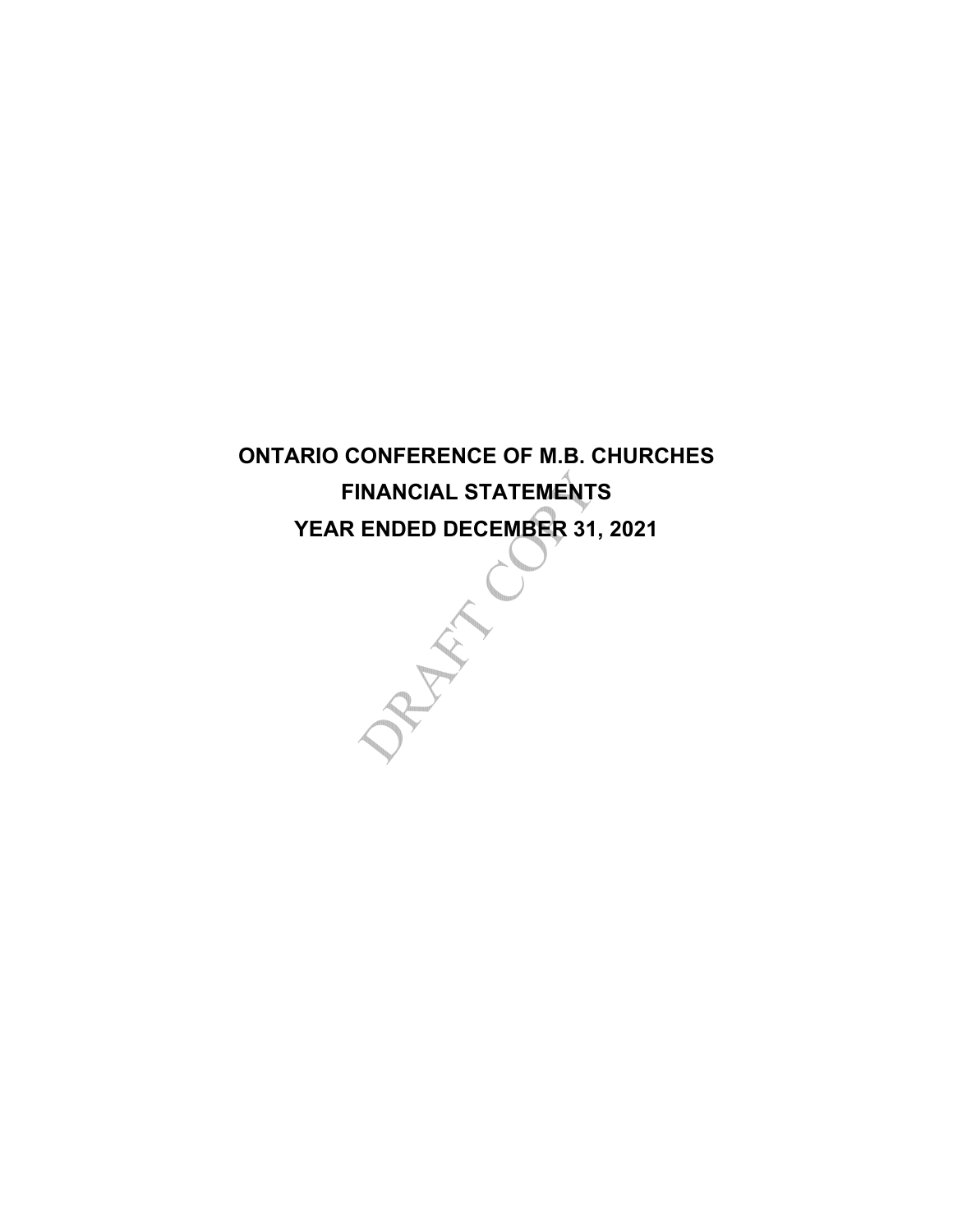**ONTARIO CONFERENCE OF M.B. CHURCHES FINANCIAL STATEMENTS**

**YEAR ENDED DECEMBER 31, 2021**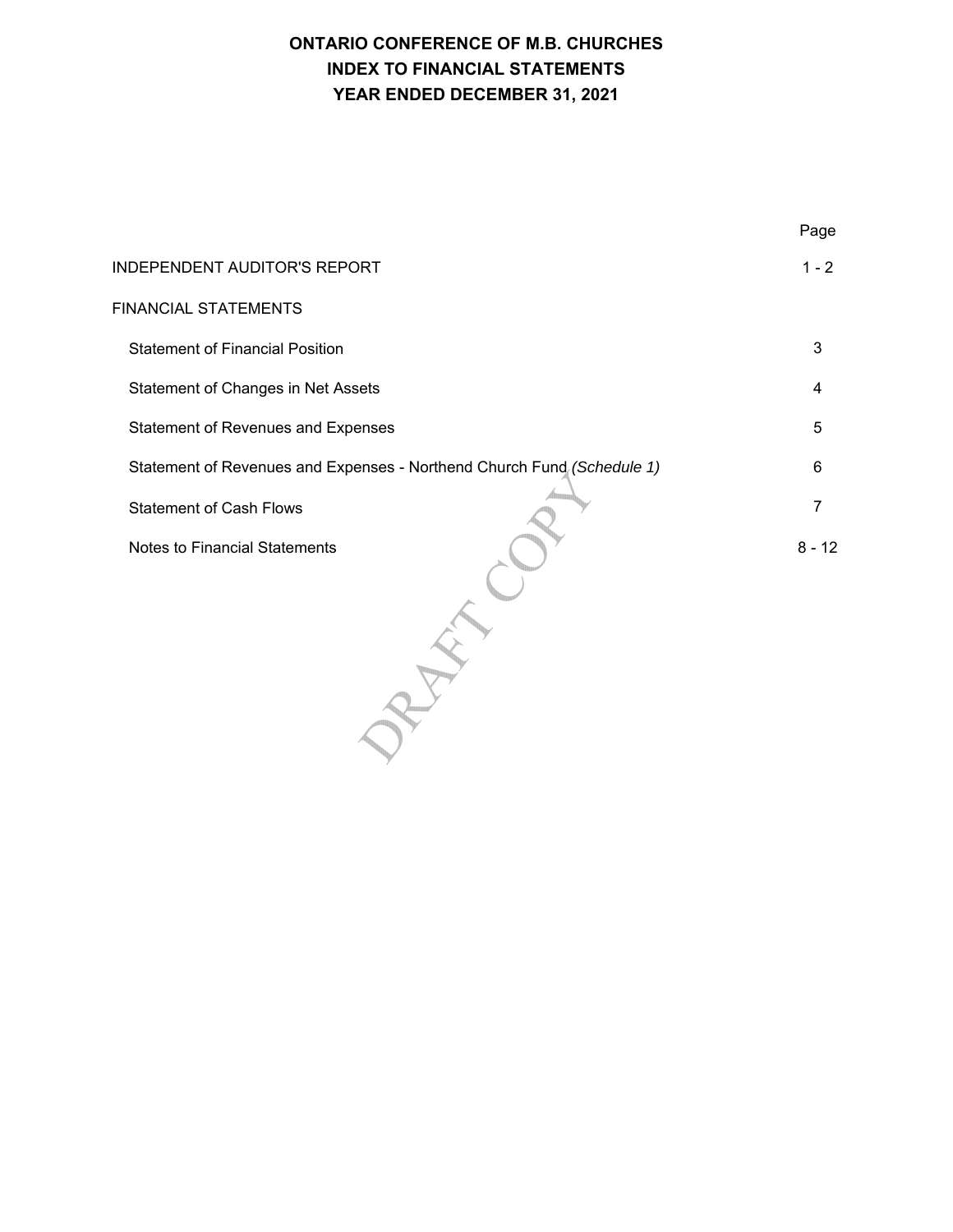|                                                                        | Page     |
|------------------------------------------------------------------------|----------|
| <b>INDEPENDENT AUDITOR'S REPORT</b>                                    | $1 - 2$  |
| <b>FINANCIAL STATEMENTS</b>                                            |          |
| <b>Statement of Financial Position</b>                                 | 3        |
| Statement of Changes in Net Assets                                     | 4        |
| Statement of Revenues and Expenses                                     | 5        |
| Statement of Revenues and Expenses - Northend Church Fund (Schedule 1) | 6        |
| <b>Statement of Cash Flows</b>                                         | 7        |
| <b>Notes to Financial Statements</b>                                   | $8 - 12$ |
|                                                                        |          |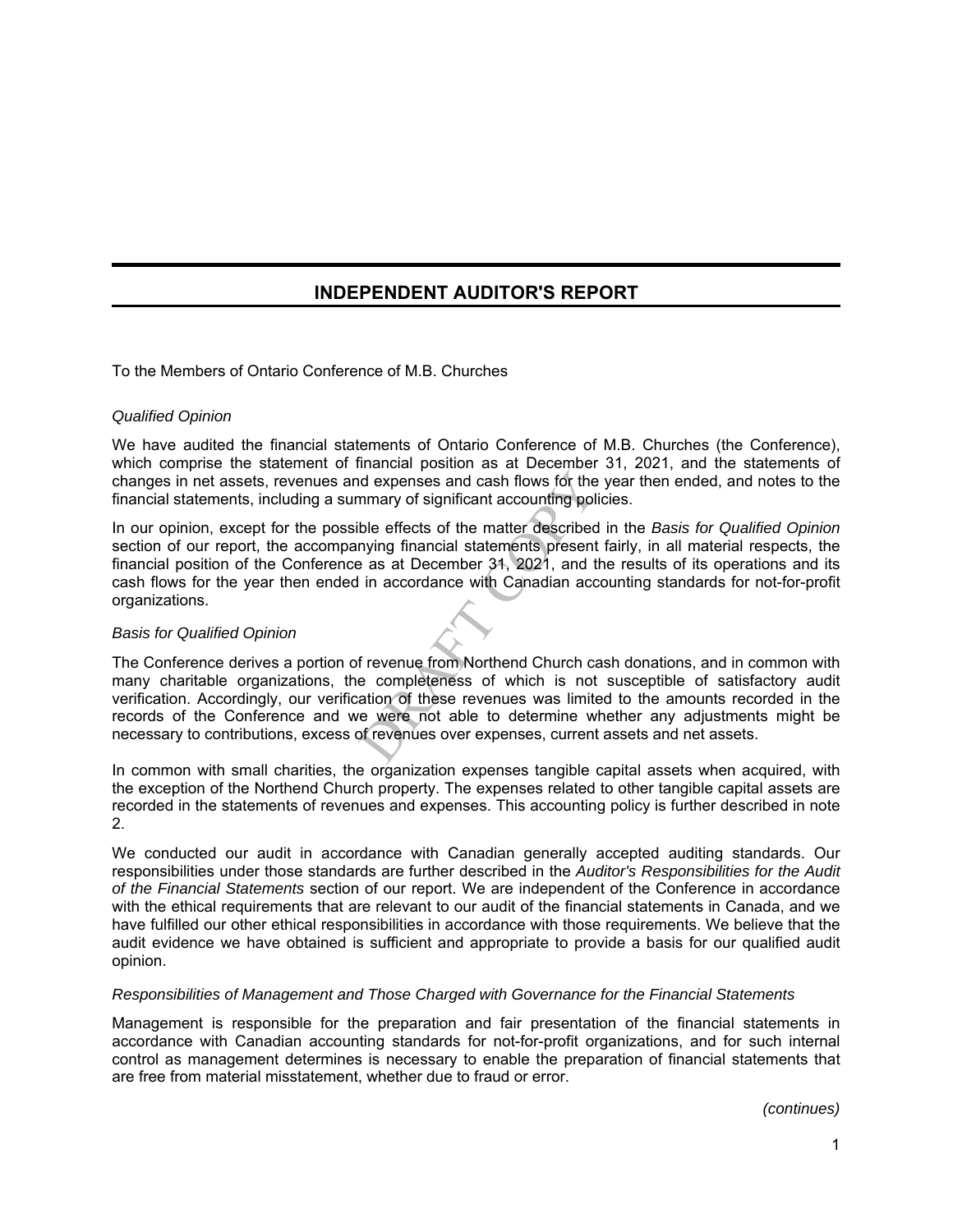# **INDEPENDENT AUDITOR'S REPORT**

To the Members of Ontario Conference of M.B. Churches

## *Qualified Opinion*

We have audited the financial statements of Ontario Conference of M.B. Churches (the Conference), which comprise the statement of financial position as at December 31, 2021, and the statements of changes in net assets, revenues and expenses and cash flows for the year then ended, and notes to the financial statements, including a summary of significant accounting policies.

In our opinion, except for the possible effects of the matter described in the *Basis for Qualified Opinion* section of our report, the accompanying financial statements present fairly, in all material respects, the financial position of the Conference as at December 31, 2021, and the results of its operations and its cash flows for the year then ended in accordance with Canadian accounting standards for not-for-profit organizations.

#### *Basis for Qualified Opinion*

The Conference derives a portion of revenue from Northend Church cash donations, and in common with many charitable organizations, the completeness of which is not susceptible of satisfactory audit verification. Accordingly, our verification of these revenues was limited to the amounts recorded in the records of the Conference and we were not able to determine whether any adjustments might be necessary to contributions, excess of revenues over expenses, current assets and net assets.

In common with small charities, the organization expenses tangible capital assets when acquired, with the exception of the Northend Church property. The expenses related to other tangible capital assets are recorded in the statements of revenues and expenses. This accounting policy is further described in note 2.

We conducted our audit in accordance with Canadian generally accepted auditing standards. Our responsibilities under those standards are further described in the *Auditor's Responsibilities for the Audit of the Financial Statements* section of our report. We are independent of the Conference in accordance with the ethical requirements that are relevant to our audit of the financial statements in Canada, and we have fulfilled our other ethical responsibilities in accordance with those requirements. We believe that the audit evidence we have obtained is sufficient and appropriate to provide a basis for our qualified audit opinion.

#### *Responsibilities of Management and Those Charged with Governance for the Financial Statements*

Management is responsible for the preparation and fair presentation of the financial statements in accordance with Canadian accounting standards for not-for-profit organizations, and for such internal control as management determines is necessary to enable the preparation of financial statements that are free from material misstatement, whether due to fraud or error.

*(continues)*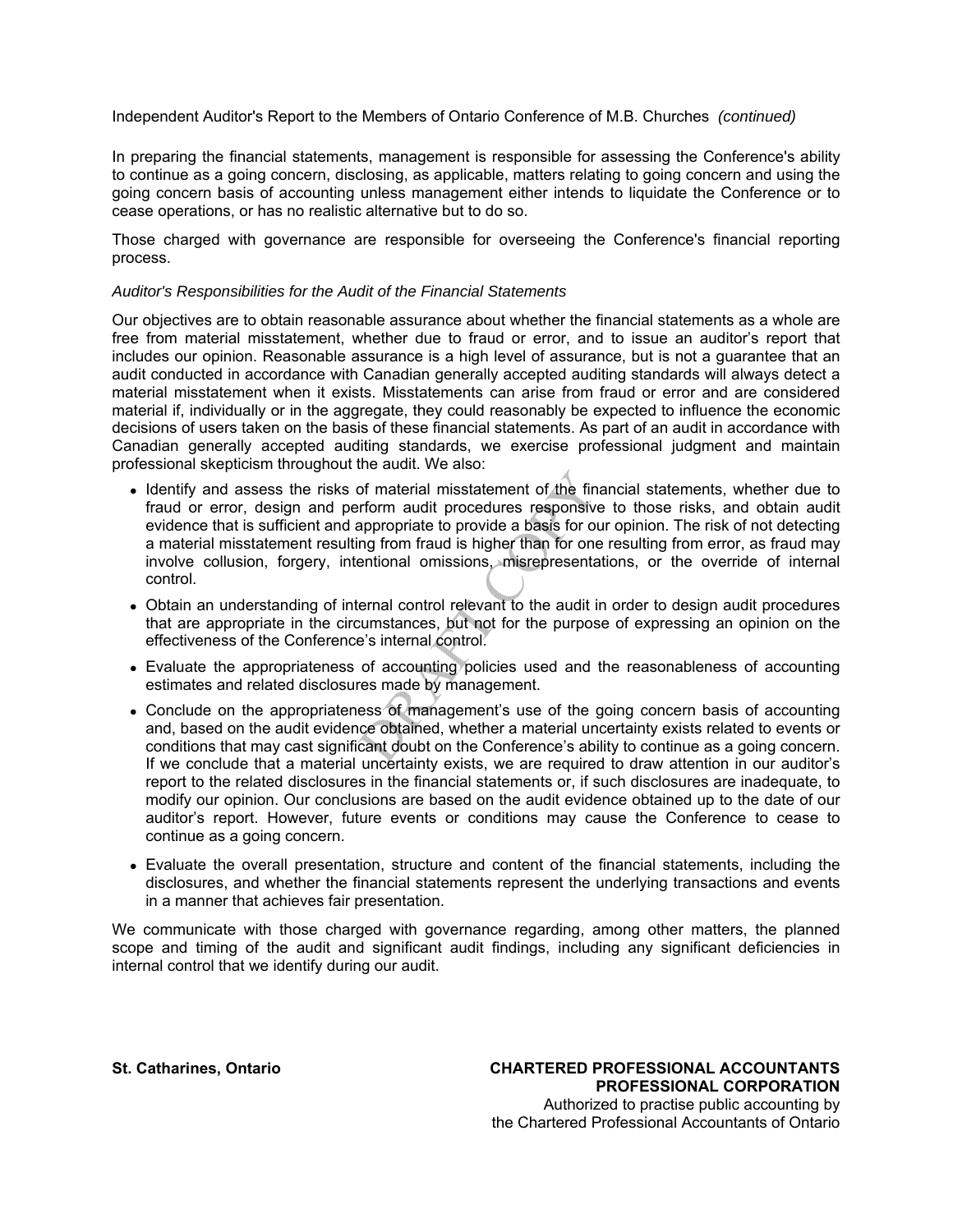Independent Auditor's Report to the Members of Ontario Conference of M.B. Churches *(continued)*

In preparing the financial statements, management is responsible for assessing the Conference's ability to continue as a going concern, disclosing, as applicable, matters relating to going concern and using the going concern basis of accounting unless management either intends to liquidate the Conference or to cease operations, or has no realistic alternative but to do so.

Those charged with governance are responsible for overseeing the Conference's financial reporting process.

#### *Auditor's Responsibilities for the Audit of the Financial Statements*

Our objectives are to obtain reasonable assurance about whether the financial statements as a whole are free from material misstatement, whether due to fraud or error, and to issue an auditor's report that includes our opinion. Reasonable assurance is a high level of assurance, but is not a guarantee that an audit conducted in accordance with Canadian generally accepted auditing standards will always detect a material misstatement when it exists. Misstatements can arise from fraud or error and are considered material if, individually or in the aggregate, they could reasonably be expected to influence the economic decisions of users taken on the basis of these financial statements. As part of an audit in accordance with Canadian generally accepted auditing standards, we exercise professional judgment and maintain professional skepticism throughout the audit. We also:

- Identify and assess the risks of material misstatement of the financial statements, whether due to fraud or error, design and perform audit procedures responsive to those risks, and obtain audit evidence that is sufficient and appropriate to provide a basis for our opinion. The risk of not detecting a material misstatement resulting from fraud is higher than for one resulting from error, as fraud may involve collusion, forgery, intentional omissions, misrepresentations, or the override of internal control.
- Obtain an understanding of internal control relevant to the audit in order to design audit procedures that are appropriate in the circumstances, but not for the purpose of expressing an opinion on the effectiveness of the Conference's internal control.
- Evaluate the appropriateness of accounting policies used and the reasonableness of accounting estimates and related disclosures made by management.
- Conclude on the appropriateness of management's use of the going concern basis of accounting and, based on the audit evidence obtained, whether a material uncertainty exists related to events or conditions that may cast significant doubt on the Conference's ability to continue as a going concern. If we conclude that a material uncertainty exists, we are required to draw attention in our auditor's report to the related disclosures in the financial statements or, if such disclosures are inadequate, to modify our opinion. Our conclusions are based on the audit evidence obtained up to the date of our auditor's report. However, future events or conditions may cause the Conference to cease to continue as a going concern.
- Evaluate the overall presentation, structure and content of the financial statements, including the disclosures, and whether the financial statements represent the underlying transactions and events in a manner that achieves fair presentation.

We communicate with those charged with governance regarding, among other matters, the planned scope and timing of the audit and significant audit findings, including any significant deficiencies in internal control that we identify during our audit.

**St. Catharines, Ontario CHARTERED PROFESSIONAL ACCOUNTANTS PROFESSIONAL CORPORATION** Authorized to practise public accounting by the Chartered Professional Accountants of Ontario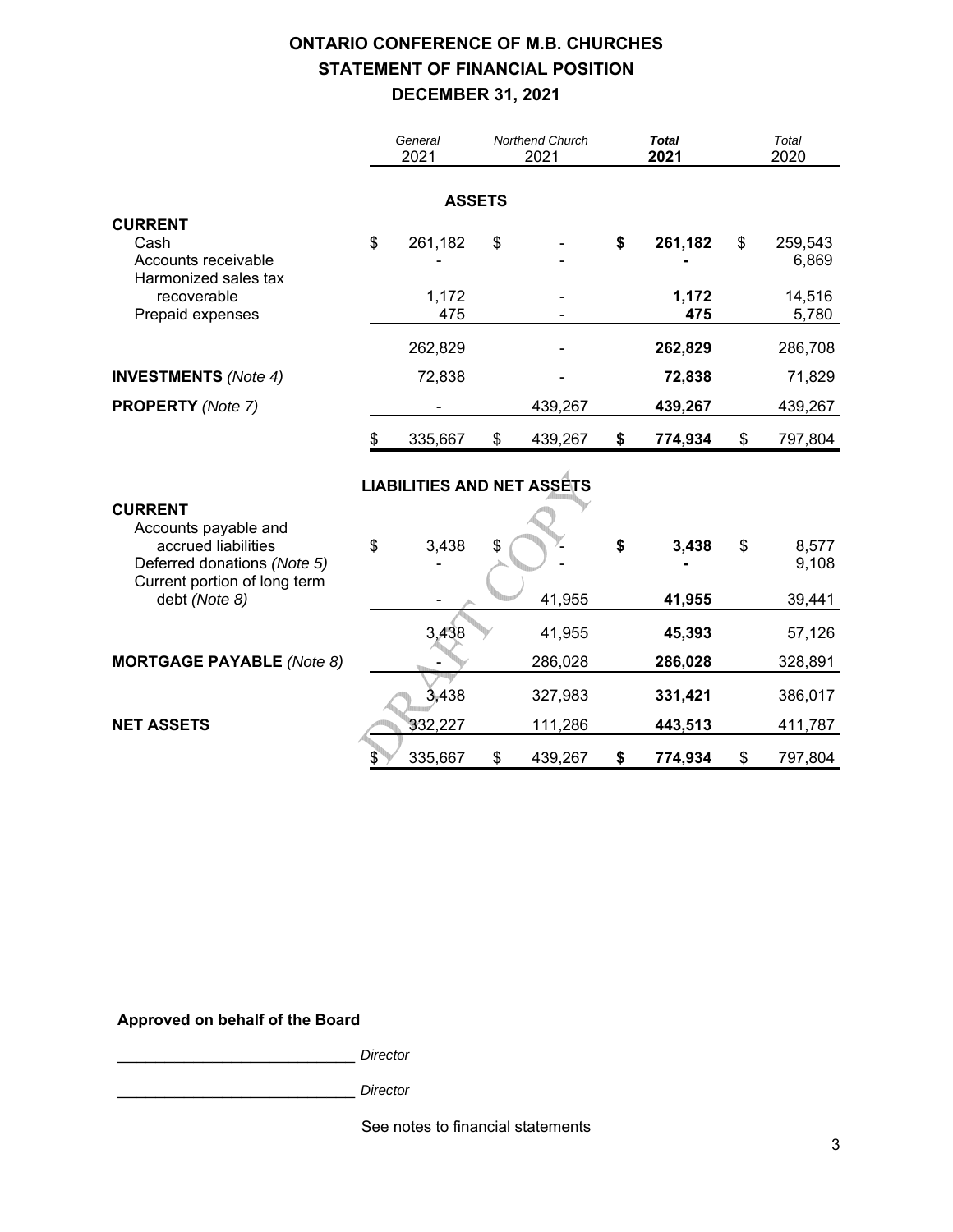# **ONTARIO CONFERENCE OF M.B. CHURCHES STATEMENT OF FINANCIAL POSITION DECEMBER 31, 2021**

|                                                                                                                              | General<br>2021                   | Northend Church<br>2021 |         | <b>Total</b><br>2021 |                         | Total<br>2020 |                                     |
|------------------------------------------------------------------------------------------------------------------------------|-----------------------------------|-------------------------|---------|----------------------|-------------------------|---------------|-------------------------------------|
|                                                                                                                              | <b>ASSETS</b>                     |                         |         |                      |                         |               |                                     |
| <b>CURRENT</b><br>Cash<br>Accounts receivable<br>Harmonized sales tax<br>recoverable<br>Prepaid expenses                     | \$<br>261,182<br>1,172<br>475     | \$                      |         | \$                   | 261,182<br>1,172<br>475 | \$            | 259,543<br>6,869<br>14,516<br>5,780 |
|                                                                                                                              | 262,829                           |                         |         |                      | 262,829                 |               | 286,708                             |
| <b>INVESTMENTS</b> (Note 4)                                                                                                  | 72,838                            |                         |         |                      | 72,838                  |               | 71,829                              |
| <b>PROPERTY</b> (Note 7)                                                                                                     |                                   |                         | 439,267 |                      | 439,267                 |               | 439,267                             |
|                                                                                                                              | \$<br>335,667                     | \$                      | 439,267 | \$                   | 774,934                 | \$            | 797,804                             |
|                                                                                                                              | <b>LIABILITIES AND NET ASSETS</b> |                         |         |                      |                         |               |                                     |
| <b>CURRENT</b><br>Accounts payable and<br>accrued liabilities<br>Deferred donations (Note 5)<br>Current portion of long term | \$<br>3,438                       | \$                      |         | \$                   | 3,438                   | \$            | 8,577<br>9,108                      |
| debt (Note 8)                                                                                                                |                                   |                         | 41,955  |                      | 41,955                  |               | 39,441                              |
|                                                                                                                              | 3,438                             |                         | 41,955  |                      | 45,393                  |               | 57,126                              |
| <b>MORTGAGE PAYABLE</b> (Note 8)                                                                                             |                                   |                         | 286,028 |                      | 286,028                 |               | 328,891                             |
|                                                                                                                              | 3,438                             |                         | 327,983 |                      | 331,421                 |               | 386,017                             |
| <b>NET ASSETS</b>                                                                                                            | 332,227                           |                         | 111,286 |                      | 443,513                 |               | 411,787                             |
|                                                                                                                              | \$<br>335,667                     | \$                      | 439,267 | \$                   | 774,934                 | \$            | 797,804                             |

## **Approved on behalf of the Board**

\_\_\_\_\_\_\_\_\_\_\_\_\_\_\_\_\_\_\_\_\_\_\_\_\_ *Director*

\_\_\_\_\_\_\_\_\_\_\_\_\_\_\_\_\_\_\_\_\_\_\_\_\_ *Director*

See notes to financial statements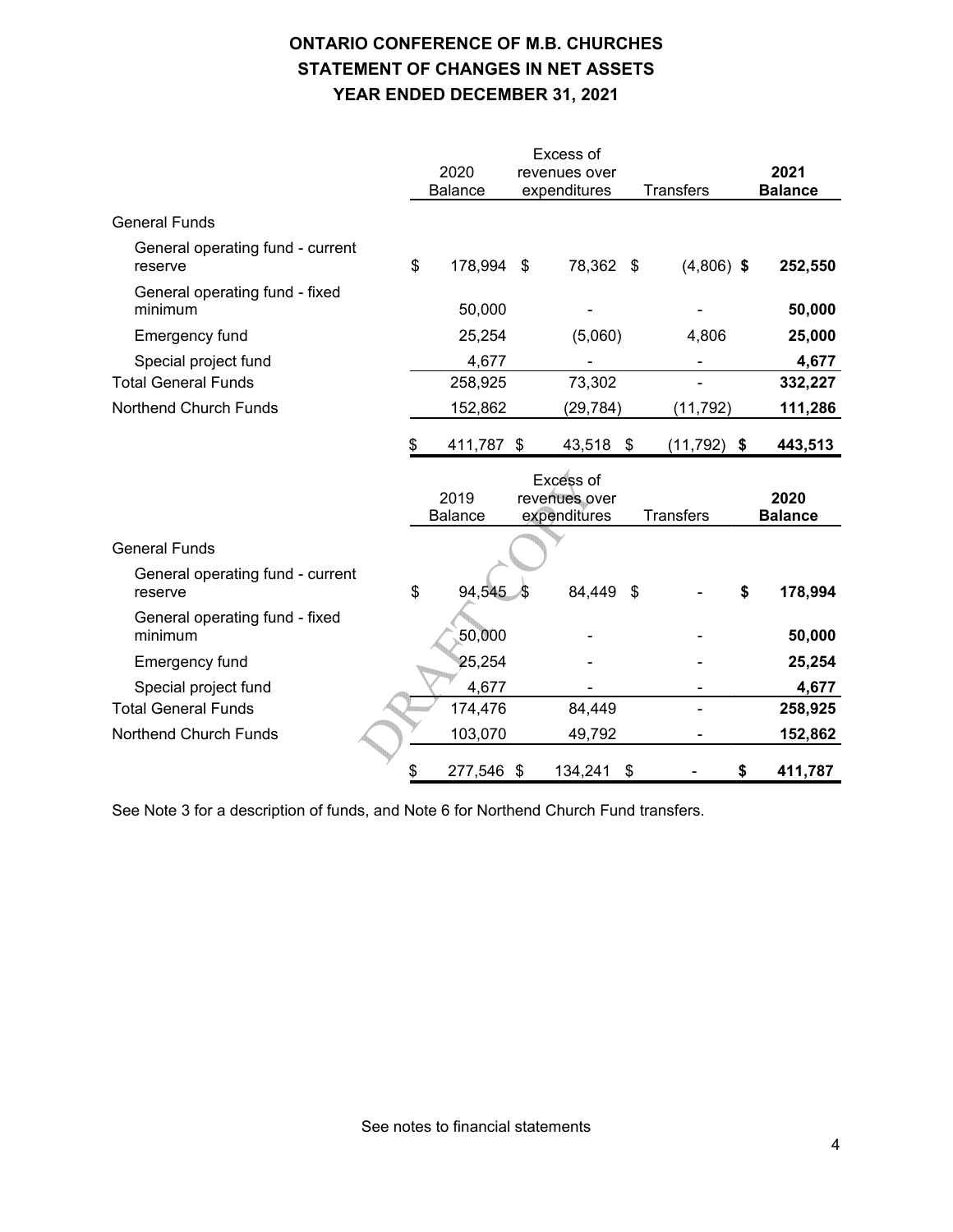# **ONTARIO CONFERENCE OF M.B. CHURCHES STATEMENT OF CHANGES IN NET ASSETS YEAR ENDED DECEMBER 31, 2021**

|                                             |    |                        |    | Excess of                     |     |                  |                        |
|---------------------------------------------|----|------------------------|----|-------------------------------|-----|------------------|------------------------|
|                                             |    | 2020<br><b>Balance</b> |    | revenues over<br>expenditures |     | <b>Transfers</b> | 2021<br><b>Balance</b> |
| <b>General Funds</b>                        |    |                        |    |                               |     |                  |                        |
| General operating fund - current<br>reserve | \$ | 178,994 \$             |    | 78,362 \$                     |     | $(4,806)$ \$     | 252,550                |
| General operating fund - fixed<br>minimum   |    | 50,000                 |    |                               |     |                  | 50,000                 |
| Emergency fund                              |    | 25,254                 |    | (5,060)                       |     | 4,806            | 25,000                 |
| Special project fund                        |    | 4,677                  |    |                               |     |                  | 4,677                  |
| <b>Total General Funds</b>                  |    | 258,925                |    | 73,302                        |     |                  | 332,227                |
| Northend Church Funds                       |    | 152,862                |    | (29, 784)                     |     | (11, 792)        | 111,286                |
|                                             | S  | 411,787                | \$ | 43,518                        | \$  | $(11, 792)$ \$   | 443,513                |
|                                             |    |                        |    |                               |     |                  |                        |
|                                             |    | 2019                   |    | Excess of<br>revenues over    |     |                  | 2020                   |
| <b>General Funds</b>                        |    | <b>Balance</b>         |    | expenditures                  |     | <b>Transfers</b> | <b>Balance</b>         |
| General operating fund - current<br>reserve | \$ | 94,545                 | 45 | 84,449                        | -\$ |                  | \$<br>178,994          |
| General operating fund - fixed<br>minimum   |    | 50,000                 |    |                               |     |                  | 50,000                 |
| Emergency fund                              |    | 25,254                 |    |                               |     |                  | 25,254                 |
| Special project fund                        |    | 4,677                  |    |                               |     |                  | 4,677                  |
| <b>Total General Funds</b>                  |    | 174,476                |    | 84,449                        |     |                  | 258,925                |
| Northend Church Funds                       |    | 103,070                |    | 49,792                        |     |                  | 152,862                |

See Note 3 for a description of funds, and Note 6 for Northend Church Fund transfers.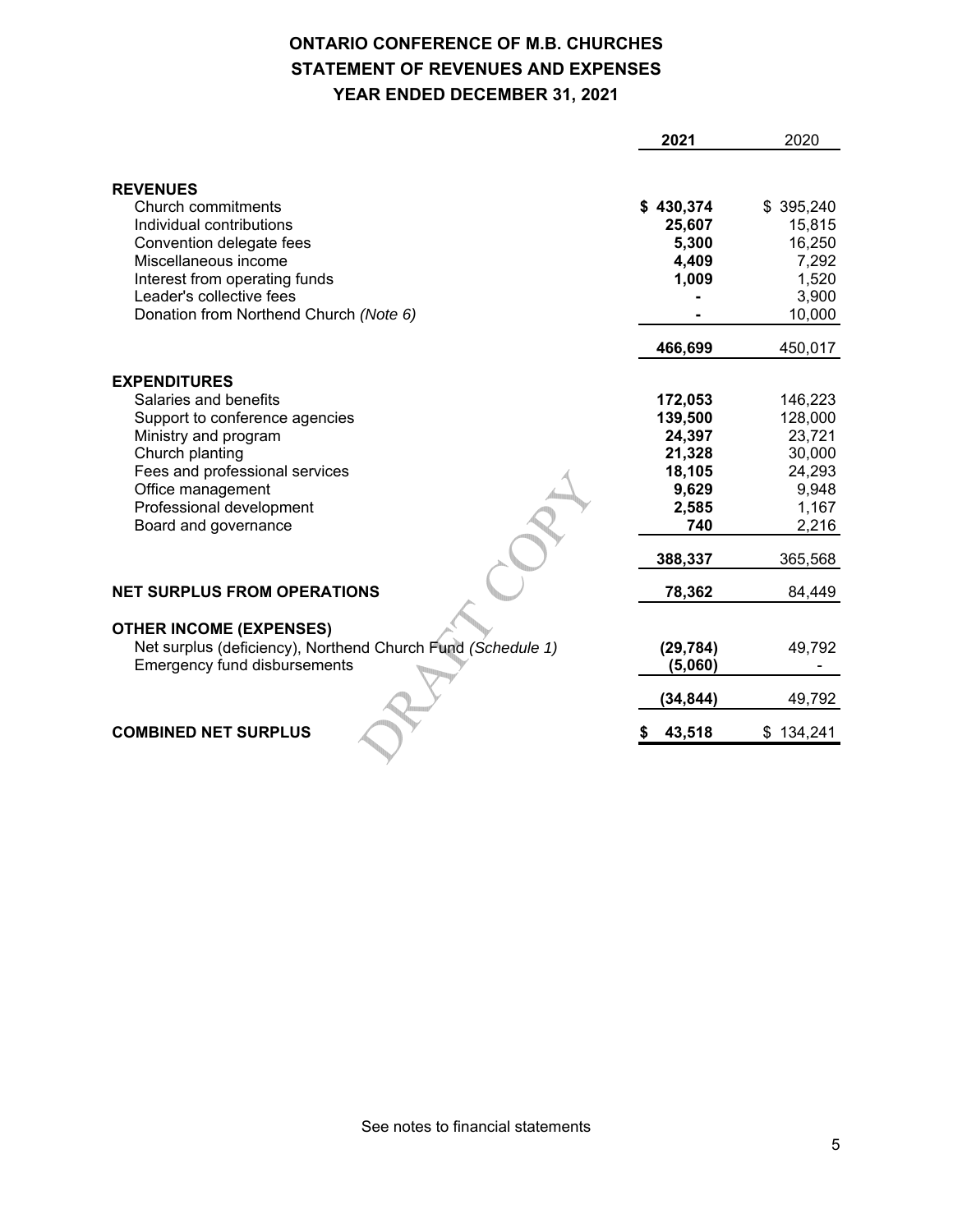# **ONTARIO CONFERENCE OF M.B. CHURCHES STATEMENT OF REVENUES AND EXPENSES YEAR ENDED DECEMBER 31, 2021**

|                                                             | 2021      | 2020      |
|-------------------------------------------------------------|-----------|-----------|
|                                                             |           |           |
| <b>REVENUES</b>                                             |           |           |
| Church commitments                                          | \$430,374 | \$395,240 |
| Individual contributions                                    | 25,607    | 15,815    |
| Convention delegate fees                                    | 5,300     | 16,250    |
| Miscellaneous income                                        | 4,409     | 7,292     |
| Interest from operating funds                               | 1,009     | 1,520     |
| Leader's collective fees                                    |           | 3,900     |
| Donation from Northend Church (Note 6)                      |           | 10,000    |
|                                                             | 466,699   | 450,017   |
| <b>EXPENDITURES</b>                                         |           |           |
| Salaries and benefits                                       | 172,053   | 146,223   |
| Support to conference agencies                              | 139,500   | 128,000   |
| Ministry and program                                        | 24,397    | 23,721    |
| Church planting                                             | 21,328    | 30,000    |
| Fees and professional services                              | 18,105    | 24,293    |
| Office management                                           | 9,629     | 9,948     |
| Professional development                                    | 2,585     | 1,167     |
| Board and governance                                        | 740       | 2,216     |
|                                                             | 388,337   | 365,568   |
| <b>NET SURPLUS FROM OPERATIONS</b>                          | 78,362    | 84,449    |
| <b>OTHER INCOME (EXPENSES)</b>                              |           |           |
| Net surplus (deficiency), Northend Church Fund (Schedule 1) | (29, 784) | 49,792    |
| <b>Emergency fund disbursements</b>                         | (5,060)   |           |
|                                                             | (34,844)  | 49,792    |
| <b>COMBINED NET SURPLUS</b>                                 | 43,518    | \$134,241 |
|                                                             |           |           |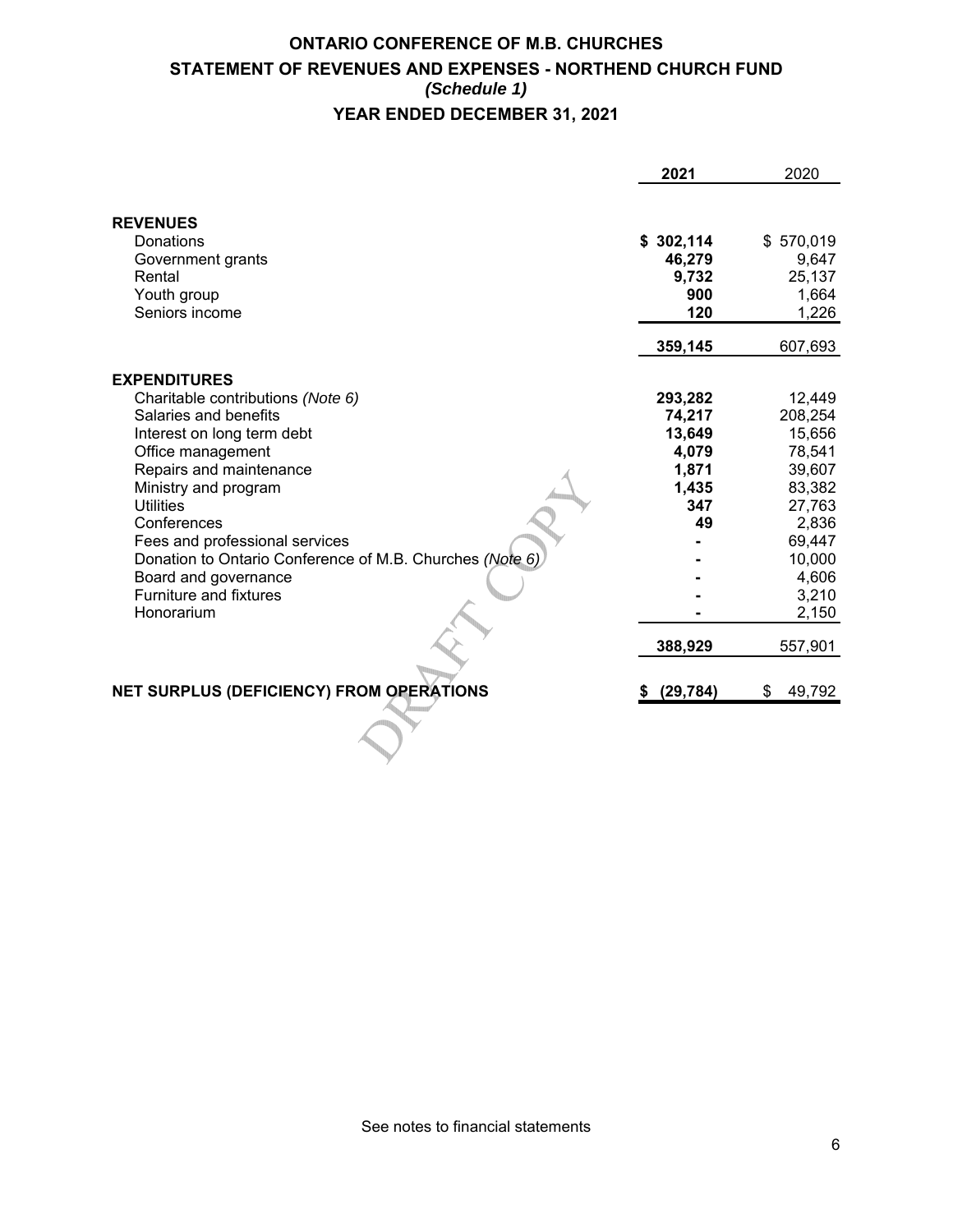# **ONTARIO CONFERENCE OF M.B. CHURCHES STATEMENT OF REVENUES AND EXPENSES - NORTHEND CHURCH FUND** *(Schedule 1)* **YEAR ENDED DECEMBER 31, 2021**

|                                                                                                                                                                                                                                                                                                                                                                                          | 2021                                                                | 2020                                                                                                                        |
|------------------------------------------------------------------------------------------------------------------------------------------------------------------------------------------------------------------------------------------------------------------------------------------------------------------------------------------------------------------------------------------|---------------------------------------------------------------------|-----------------------------------------------------------------------------------------------------------------------------|
| <b>REVENUES</b><br>Donations<br>Government grants<br>Rental<br>Youth group<br>Seniors income                                                                                                                                                                                                                                                                                             | \$302,114<br>46,279<br>9,732<br>900<br>120                          | \$570,019<br>9,647<br>25,137<br>1,664<br>1,226                                                                              |
|                                                                                                                                                                                                                                                                                                                                                                                          | 359,145                                                             | 607,693                                                                                                                     |
| <b>EXPENDITURES</b><br>Charitable contributions (Note 6)<br>Salaries and benefits<br>Interest on long term debt<br>Office management<br>Repairs and maintenance<br>Ministry and program<br><b>Utilities</b><br>Conferences<br>Fees and professional services<br>Donation to Ontario Conference of M.B. Churches (Note 6)<br>Board and governance<br>Furniture and fixtures<br>Honorarium | 293,282<br>74,217<br>13,649<br>4,079<br>1,871<br>1,435<br>347<br>49 | 12,449<br>208,254<br>15,656<br>78,541<br>39,607<br>83,382<br>27,763<br>2,836<br>69,447<br>10,000<br>4,606<br>3,210<br>2,150 |
|                                                                                                                                                                                                                                                                                                                                                                                          | 388,929                                                             | 557,901                                                                                                                     |
| NET SURPLUS (DEFICIENCY) FROM OPERATIONS                                                                                                                                                                                                                                                                                                                                                 | (29, 784)<br>S.                                                     | 49,792<br>\$                                                                                                                |
|                                                                                                                                                                                                                                                                                                                                                                                          |                                                                     |                                                                                                                             |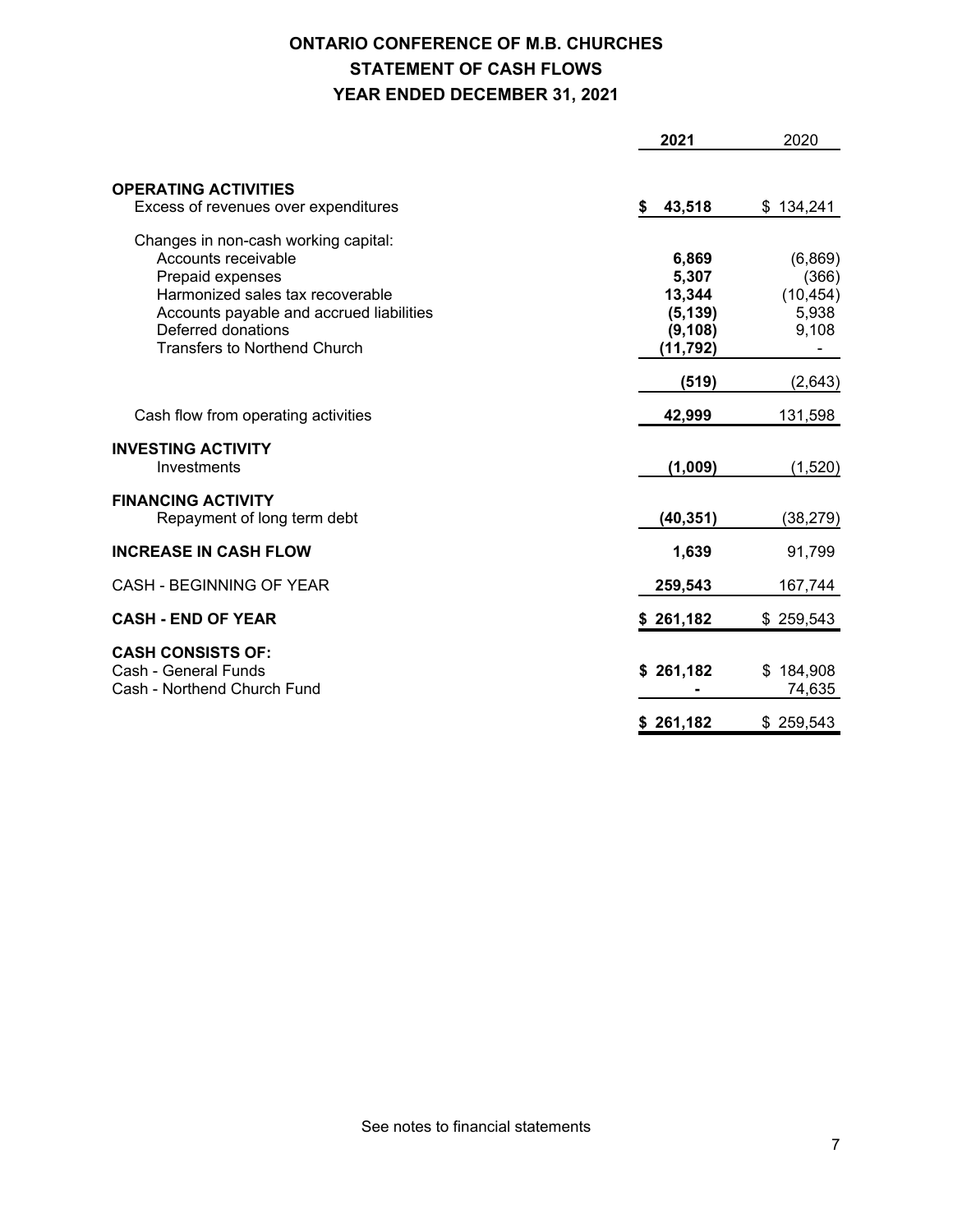# **ONTARIO CONFERENCE OF M.B. CHURCHES STATEMENT OF CASH FLOWS YEAR ENDED DECEMBER 31, 2021**

|                                                          | 2021         | 2020      |
|----------------------------------------------------------|--------------|-----------|
|                                                          |              |           |
| <b>OPERATING ACTIVITIES</b>                              |              |           |
| Excess of revenues over expenditures                     | 43,518<br>\$ | \$134,241 |
| Changes in non-cash working capital:                     |              |           |
| Accounts receivable                                      | 6,869        | (6,869)   |
| Prepaid expenses                                         | 5,307        | (366)     |
| Harmonized sales tax recoverable                         | 13,344       | (10, 454) |
| Accounts payable and accrued liabilities                 | (5, 139)     | 5,938     |
| Deferred donations                                       | (9, 108)     | 9,108     |
| <b>Transfers to Northend Church</b>                      | (11, 792)    |           |
|                                                          | (519)        | (2,643)   |
| Cash flow from operating activities                      | 42,999       | 131,598   |
| <b>INVESTING ACTIVITY</b>                                |              |           |
| Investments                                              | (1,009)      | (1,520)   |
|                                                          |              |           |
| <b>FINANCING ACTIVITY</b><br>Repayment of long term debt | (40, 351)    | (38, 279) |
|                                                          |              |           |
| <b>INCREASE IN CASH FLOW</b>                             | 1,639        | 91,799    |
| <b>CASH - BEGINNING OF YEAR</b>                          | 259,543      | 167,744   |
| <b>CASH - END OF YEAR</b>                                | \$261,182    | \$259,543 |
| <b>CASH CONSISTS OF:</b>                                 |              |           |
| Cash - General Funds                                     | \$261,182    | \$184,908 |
| Cash - Northend Church Fund                              |              | 74,635    |
|                                                          | \$261,182    | \$259,543 |
|                                                          |              |           |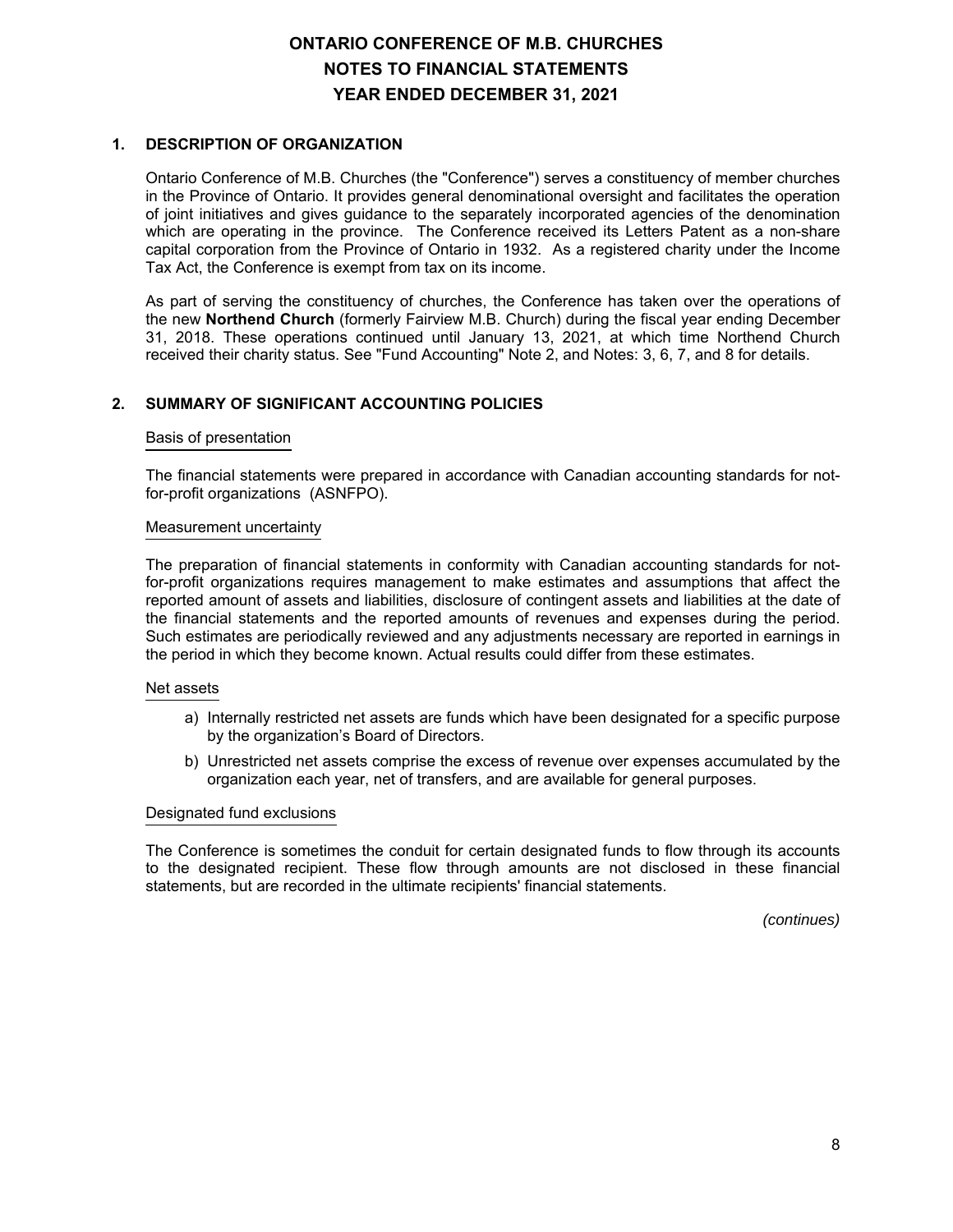## **1. DESCRIPTION OF ORGANIZATION**

Ontario Conference of M.B. Churches (the "Conference") serves a constituency of member churches in the Province of Ontario. It provides general denominational oversight and facilitates the operation of joint initiatives and gives guidance to the separately incorporated agencies of the denomination which are operating in the province. The Conference received its Letters Patent as a non-share capital corporation from the Province of Ontario in 1932. As a registered charity under the Income Tax Act, the Conference is exempt from tax on its income.

As part of serving the constituency of churches, the Conference has taken over the operations of the new **Northend Church** (formerly Fairview M.B. Church) during the fiscal year ending December 31, 2018. These operations continued until January 13, 2021, at which time Northend Church received their charity status. See "Fund Accounting" Note 2, and Notes: 3, 6, 7, and 8 for details.

## **2. SUMMARY OF SIGNIFICANT ACCOUNTING POLICIES**

#### Basis of presentation

The financial statements were prepared in accordance with Canadian accounting standards for notfor-profit organizations (ASNFPO).

#### Measurement uncertainty

The preparation of financial statements in conformity with Canadian accounting standards for notfor-profit organizations requires management to make estimates and assumptions that affect the reported amount of assets and liabilities, disclosure of contingent assets and liabilities at the date of the financial statements and the reported amounts of revenues and expenses during the period. Such estimates are periodically reviewed and any adjustments necessary are reported in earnings in the period in which they become known. Actual results could differ from these estimates.

#### Net assets

- a) Internally restricted net assets are funds which have been designated for a specific purpose by the organization's Board of Directors.
- b) Unrestricted net assets comprise the excess of revenue over expenses accumulated by the organization each year, net of transfers, and are available for general purposes.

#### Designated fund exclusions

The Conference is sometimes the conduit for certain designated funds to flow through its accounts to the designated recipient. These flow through amounts are not disclosed in these financial statements, but are recorded in the ultimate recipients' financial statements.

*(continues)*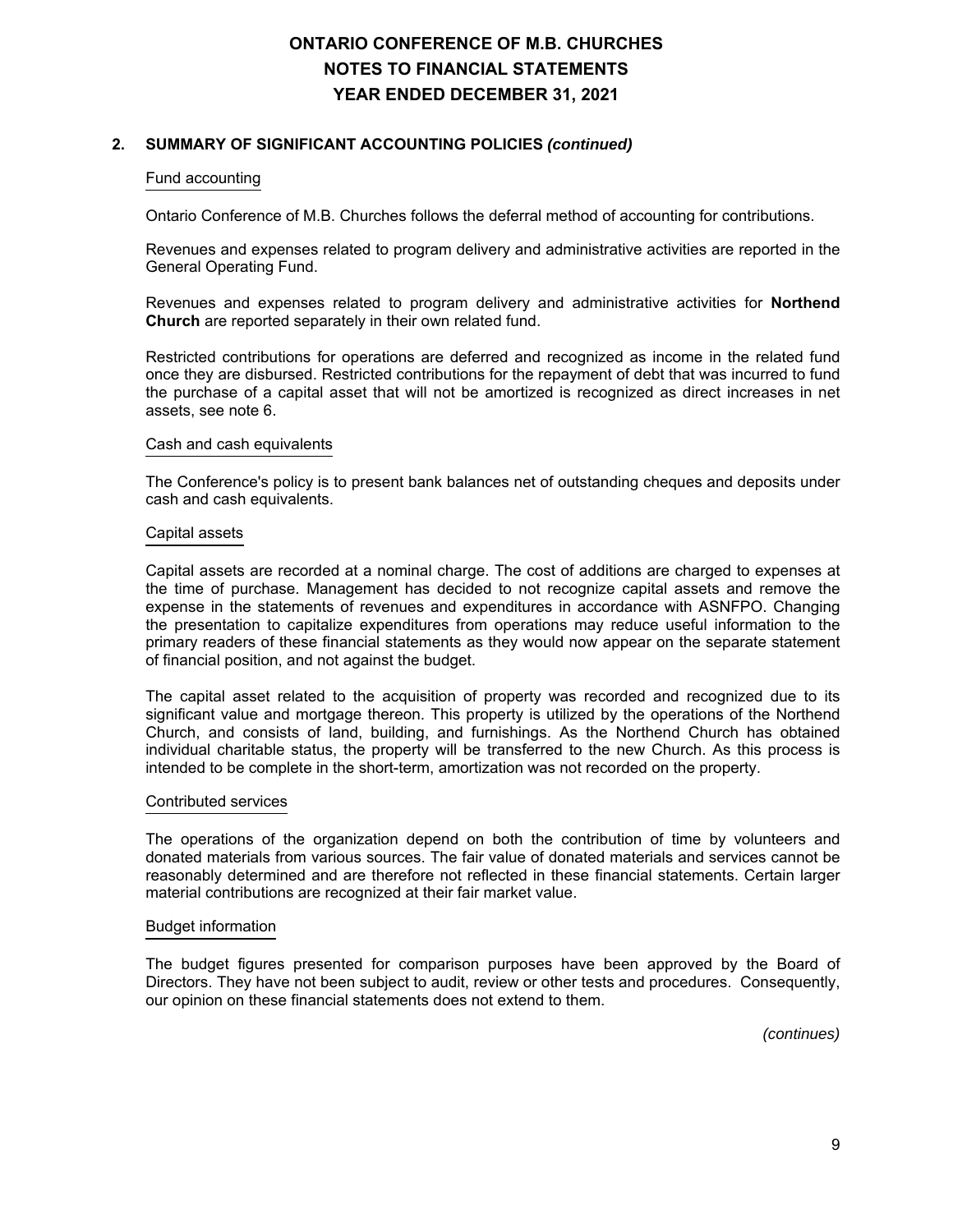## **2. SUMMARY OF SIGNIFICANT ACCOUNTING POLICIES** *(continued)*

#### Fund accounting

Ontario Conference of M.B. Churches follows the deferral method of accounting for contributions.

Revenues and expenses related to program delivery and administrative activities are reported in the General Operating Fund.

Revenues and expenses related to program delivery and administrative activities for **Northend Church** are reported separately in their own related fund.

Restricted contributions for operations are deferred and recognized as income in the related fund once they are disbursed. Restricted contributions for the repayment of debt that was incurred to fund the purchase of a capital asset that will not be amortized is recognized as direct increases in net assets, see note 6.

#### Cash and cash equivalents

The Conference's policy is to present bank balances net of outstanding cheques and deposits under cash and cash equivalents.

#### Capital assets

Capital assets are recorded at a nominal charge. The cost of additions are charged to expenses at the time of purchase. Management has decided to not recognize capital assets and remove the expense in the statements of revenues and expenditures in accordance with ASNFPO. Changing the presentation to capitalize expenditures from operations may reduce useful information to the primary readers of these financial statements as they would now appear on the separate statement of financial position, and not against the budget.

The capital asset related to the acquisition of property was recorded and recognized due to its significant value and mortgage thereon. This property is utilized by the operations of the Northend Church, and consists of land, building, and furnishings. As the Northend Church has obtained individual charitable status, the property will be transferred to the new Church. As this process is intended to be complete in the short-term, amortization was not recorded on the property.

#### Contributed services

The operations of the organization depend on both the contribution of time by volunteers and donated materials from various sources. The fair value of donated materials and services cannot be reasonably determined and are therefore not reflected in these financial statements. Certain larger material contributions are recognized at their fair market value.

#### Budget information

The budget figures presented for comparison purposes have been approved by the Board of Directors. They have not been subject to audit, review or other tests and procedures. Consequently, our opinion on these financial statements does not extend to them.

*(continues)*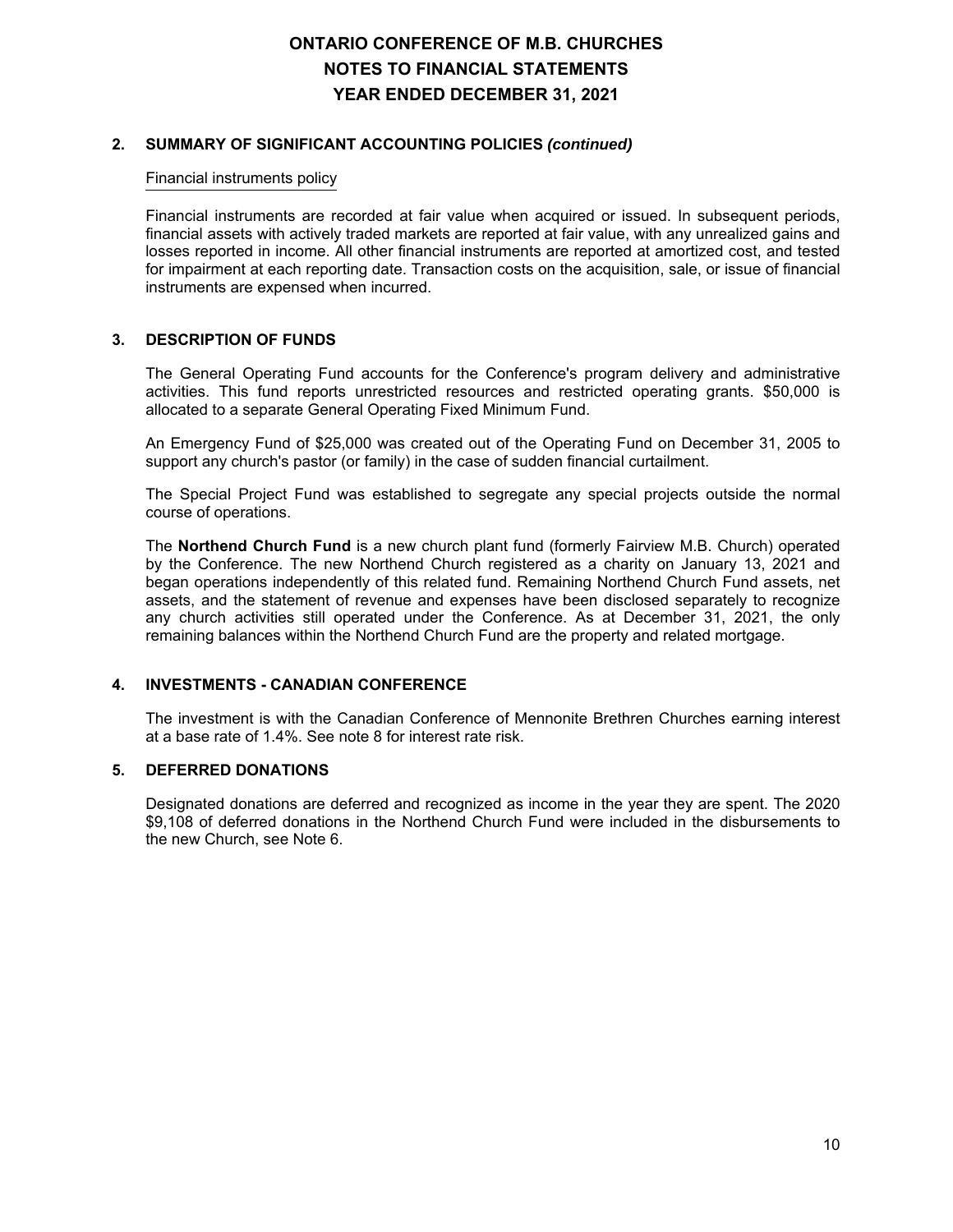## **2. SUMMARY OF SIGNIFICANT ACCOUNTING POLICIES** *(continued)*

#### Financial instruments policy

Financial instruments are recorded at fair value when acquired or issued. In subsequent periods, financial assets with actively traded markets are reported at fair value, with any unrealized gains and losses reported in income. All other financial instruments are reported at amortized cost, and tested for impairment at each reporting date. Transaction costs on the acquisition, sale, or issue of financial instruments are expensed when incurred.

#### **3. DESCRIPTION OF FUNDS**

The General Operating Fund accounts for the Conference's program delivery and administrative activities. This fund reports unrestricted resources and restricted operating grants. \$50,000 is allocated to a separate General Operating Fixed Minimum Fund.

An Emergency Fund of \$25,000 was created out of the Operating Fund on December 31, 2005 to support any church's pastor (or family) in the case of sudden financial curtailment.

The Special Project Fund was established to segregate any special projects outside the normal course of operations.

The **Northend Church Fund** is a new church plant fund (formerly Fairview M.B. Church) operated by the Conference. The new Northend Church registered as a charity on January 13, 2021 and began operations independently of this related fund. Remaining Northend Church Fund assets, net assets, and the statement of revenue and expenses have been disclosed separately to recognize any church activities still operated under the Conference. As at December 31, 2021, the only remaining balances within the Northend Church Fund are the property and related mortgage.

## **4. INVESTMENTS - CANADIAN CONFERENCE**

The investment is with the Canadian Conference of Mennonite Brethren Churches earning interest at a base rate of 1.4%. See note 8 for interest rate risk.

### **5. DEFERRED DONATIONS**

Designated donations are deferred and recognized as income in the year they are spent. The 2020 \$9,108 of deferred donations in the Northend Church Fund were included in the disbursements to the new Church, see Note 6.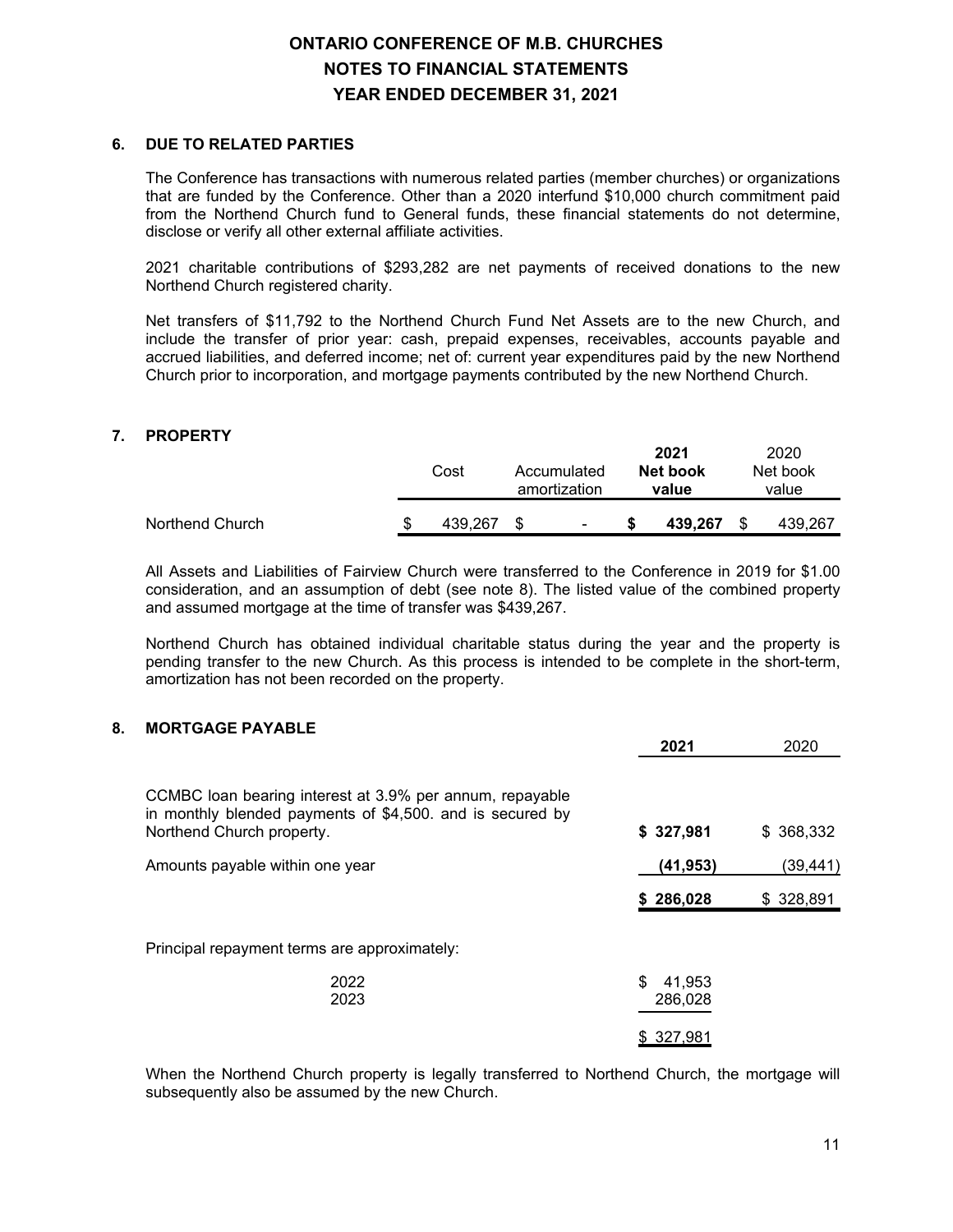### **6. DUE TO RELATED PARTIES**

The Conference has transactions with numerous related parties (member churches) or organizations that are funded by the Conference. Other than a 2020 interfund \$10,000 church commitment paid from the Northend Church fund to General funds, these financial statements do not determine, disclose or verify all other external affiliate activities.

2021 charitable contributions of \$293,282 are net payments of received donations to the new Northend Church registered charity.

Net transfers of \$11,792 to the Northend Church Fund Net Assets are to the new Church, and include the transfer of prior year: cash, prepaid expenses, receivables, accounts payable and accrued liabilities, and deferred income; net of: current year expenditures paid by the new Northend Church prior to incorporation, and mortgage payments contributed by the new Northend Church.

## **7. PROPERTY**

|                 |   | Cost    | Accumulated<br>amortization |                          | 2021<br>Net book<br>value | 2020<br>Net book<br>value |
|-----------------|---|---------|-----------------------------|--------------------------|---------------------------|---------------------------|
| Northend Church | S | 439.267 |                             | $\overline{\phantom{0}}$ | 439.267                   | 439.267                   |

All Assets and Liabilities of Fairview Church were transferred to the Conference in 2019 for \$1.00 consideration, and an assumption of debt (see note 8). The listed value of the combined property and assumed mortgage at the time of transfer was \$439,267.

Northend Church has obtained individual charitable status during the year and the property is pending transfer to the new Church. As this process is intended to be complete in the short-term, amortization has not been recorded on the property.

## **8. MORTGAGE PAYABLE**

|                                                                                                                                                    | 2021                    | 2020      |
|----------------------------------------------------------------------------------------------------------------------------------------------------|-------------------------|-----------|
| CCMBC loan bearing interest at 3.9% per annum, repayable<br>in monthly blended payments of \$4,500. and is secured by<br>Northend Church property. | \$327,981               | \$368,332 |
| Amounts payable within one year                                                                                                                    | (41, 953)               | (39,441)  |
|                                                                                                                                                    | \$286,028               | \$328,891 |
| Principal repayment terms are approximately:                                                                                                       |                         |           |
| 2022<br>2023                                                                                                                                       | \$<br>41,953<br>286,028 |           |
|                                                                                                                                                    | \$327,981               |           |

When the Northend Church property is legally transferred to Northend Church, the mortgage will subsequently also be assumed by the new Church.